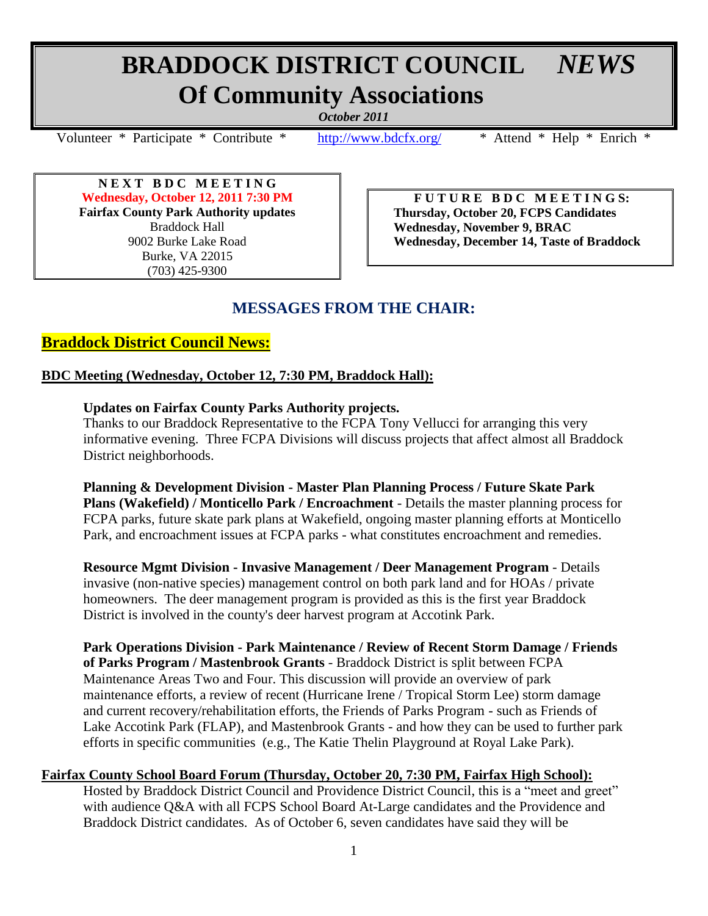# **BRADDOCK DISTRICT COUNCIL** *NEWS*  **Of Community Associations**

*October 2011*

Volunteer \* Participate \* Contribute \* <http://www.bdcfx.org/>\* Attend \* Help \* Enrich \*

**N E X T B D C M E E T I N G Wednesday, October 12, 2011 7:30 PM Fairfax County Park Authority updates** Braddock Hall 9002 Burke Lake Road Burke, VA 22015 (703) 425-9300

**F U T U R E B D C M E E T I N G S: Thursday, October 20, FCPS Candidates Wednesday, November 9, BRAC Wednesday, December 14, Taste of Braddock**

# **MESSAGES FROM THE CHAIR:**

# **Braddock District Council News:**

# **BDC Meeting (Wednesday, October 12, 7:30 PM, Braddock Hall):**

# **Updates on Fairfax County Parks Authority projects.**

Thanks to our Braddock Representative to the FCPA Tony Vellucci for arranging this very informative evening. Three FCPA Divisions will discuss projects that affect almost all Braddock District neighborhoods.

**Planning & Development Division - Master Plan Planning Process / Future Skate Park Plans (Wakefield) / Monticello Park / Encroachment** - Details the master planning process for FCPA parks, future skate park plans at Wakefield, ongoing master planning efforts at Monticello Park, and encroachment issues at FCPA parks - what constitutes encroachment and remedies.

**Resource Mgmt Division - Invasive Management / Deer Management Program** - Details invasive (non-native species) management control on both park land and for HOAs / private homeowners. The deer management program is provided as this is the first year Braddock District is involved in the county's deer harvest program at Accotink Park.

**Park Operations Division - Park Maintenance / Review of Recent Storm Damage / Friends of Parks Program / Mastenbrook Grants** - Braddock District is split between FCPA Maintenance Areas Two and Four. This discussion will provide an overview of park maintenance efforts, a review of recent (Hurricane Irene / Tropical Storm Lee) storm damage and current recovery/rehabilitation efforts, the Friends of Parks Program - such as Friends of Lake Accotink Park (FLAP), and Mastenbrook Grants - and how they can be used to further park efforts in specific communities (e.g., The Katie Thelin Playground at Royal Lake Park).

# **Fairfax County School Board Forum (Thursday, October 20, 7:30 PM, Fairfax High School):**

Hosted by Braddock District Council and Providence District Council, this is a "meet and greet" with audience Q&A with all FCPS School Board At-Large candidates and the Providence and Braddock District candidates. As of October 6, seven candidates have said they will be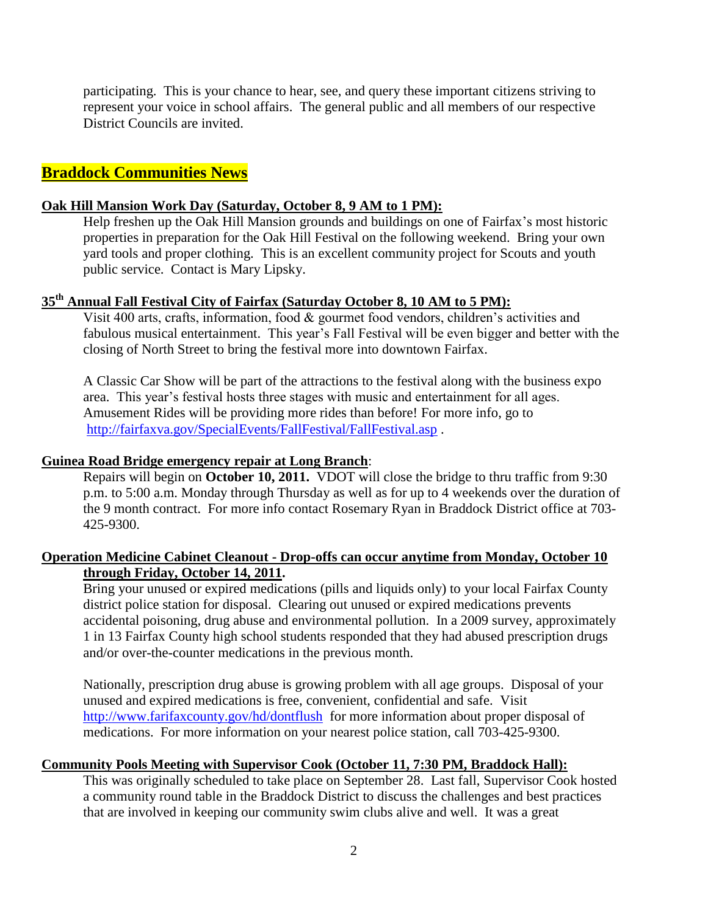participating. This is your chance to hear, see, and query these important citizens striving to represent your voice in school affairs. The general public and all members of our respective District Councils are invited.

# **Braddock Communities News**

#### **Oak Hill Mansion Work Day (Saturday, October 8, 9 AM to 1 PM):**

Help freshen up the Oak Hill Mansion grounds and buildings on one of Fairfax's most historic properties in preparation for the Oak Hill Festival on the following weekend. Bring your own yard tools and proper clothing. This is an excellent community project for Scouts and youth public service. Contact is Mary Lipsky.

# **35th Annual Fall Festival City of Fairfax (Saturday October 8, 10 AM to 5 PM):**

Visit 400 arts, crafts, information, food & gourmet food vendors, children's activities and fabulous musical entertainment. This year's Fall Festival will be even bigger and better with the closing of North Street to bring the festival more into downtown Fairfax.

A Classic Car Show will be part of the attractions to the festival along with the business expo area. This year's festival hosts three stages with music and entertainment for all ages. Amusement Rides will be providing more rides than before! For more info, go to <http://fairfaxva.gov/SpecialEvents/FallFestival/FallFestival.asp> .

#### **Guinea Road Bridge emergency repair at Long Branch**:

Repairs will begin on **October 10, 2011.** VDOT will close the bridge to thru traffic from 9:30 p.m. to 5:00 a.m. Monday through Thursday as well as for up to 4 weekends over the duration of the 9 month contract. For more info contact Rosemary Ryan in Braddock District office at 703- 425-9300.

## **Operation Medicine Cabinet Cleanout - Drop-offs can occur anytime from Monday, October 10 through Friday, October 14, 2011.**

Bring your unused or expired medications (pills and liquids only) to your local Fairfax County district police station for disposal. Clearing out unused or expired medications prevents accidental poisoning, drug abuse and environmental pollution. In a 2009 survey, approximately 1 in 13 Fairfax County high school students responded that they had abused prescription drugs and/or over-the-counter medications in the previous month.

Nationally, prescription drug abuse is growing problem with all age groups. Disposal of your unused and expired medications is free, convenient, confidential and safe. Visit <http://www.farifaxcounty.gov/hd/dontflush> for more information about proper disposal of medications. For more information on your nearest police station, call 703-425-9300.

## **Community Pools Meeting with Supervisor Cook (October 11, 7:30 PM, Braddock Hall):**

This was originally scheduled to take place on September 28. Last fall, Supervisor Cook hosted a community round table in the Braddock District to discuss the challenges and best practices that are involved in keeping our community swim clubs alive and well. It was a great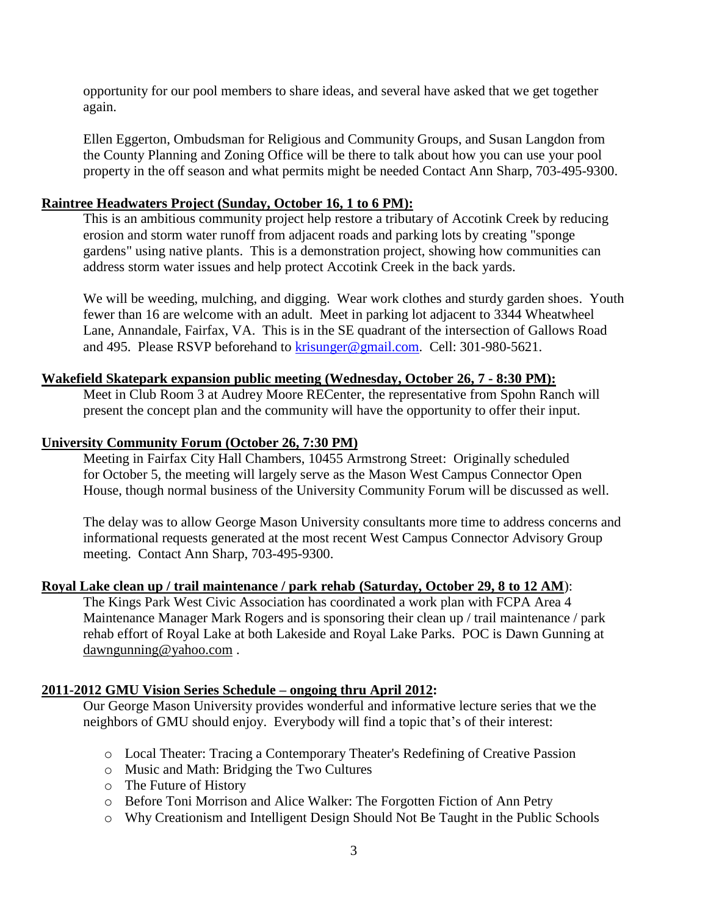opportunity for our pool members to share ideas, and several have asked that we get together again.

Ellen Eggerton, Ombudsman for Religious and Community Groups, and Susan Langdon from the County Planning and Zoning Office will be there to talk about how you can use your pool property in the off season and what permits might be needed Contact Ann Sharp, 703-495-9300.

#### **Raintree Headwaters Project (Sunday, October 16, 1 to 6 PM):**

This is an ambitious community project help restore a tributary of Accotink Creek by reducing erosion and storm water runoff from adjacent roads and parking lots by creating "sponge gardens" using native plants. This is a demonstration project, showing how communities can address storm water issues and help protect Accotink Creek in the back yards.

We will be weeding, mulching, and digging. Wear work clothes and sturdy garden shoes. Youth fewer than 16 are welcome with an adult. Meet in parking lot adjacent to 3344 Wheatwheel Lane, Annandale, Fairfax, VA. This is in the SE quadrant of the intersection of Gallows Road and 495. Please RSVP beforehand to [krisunger@gmail.com.](mailto:krisunger@gmail.com) Cell: 301-980-5621.

#### **Wakefield Skatepark expansion public meeting (Wednesday, October 26, 7 - 8:30 PM):**

Meet in Club Room 3 at Audrey Moore RECenter, the representative from Spohn Ranch will present the concept plan and the community will have the opportunity to offer their input.

#### **University Community Forum (October 26, 7:30 PM)**

Meeting in Fairfax City Hall Chambers, 10455 Armstrong Street: Originally scheduled for October 5, the meeting will largely serve as the Mason West Campus Connector Open House, though normal business of the University Community Forum will be discussed as well.

The delay was to allow George Mason University consultants more time to address concerns and informational requests generated at the most recent West Campus Connector Advisory Group meeting. Contact Ann Sharp, 703-495-9300.

#### **Royal Lake clean up / trail maintenance / park rehab (Saturday, October 29, 8 to 12 AM**):

The Kings Park West Civic Association has coordinated a work plan with FCPA Area 4 Maintenance Manager Mark Rogers and is sponsoring their clean up / trail maintenance / park rehab effort of Royal Lake at both Lakeside and Royal Lake Parks. POC is Dawn Gunning at [dawngunning@yahoo.com](mailto:dawngunning@yahoo.com).

#### **2011-2012 GMU Vision Series Schedule – ongoing thru April 2012:**

Our George Mason University provides wonderful and informative lecture series that we the neighbors of GMU should enjoy. Everybody will find a topic that's of their interest:

- o Local Theater: Tracing a Contemporary Theater's Redefining of Creative Passion
- o Music and Math: Bridging the Two Cultures
- o The Future of History
- o Before Toni Morrison and Alice Walker: The Forgotten Fiction of Ann Petry
- o Why Creationism and Intelligent Design Should Not Be Taught in the Public Schools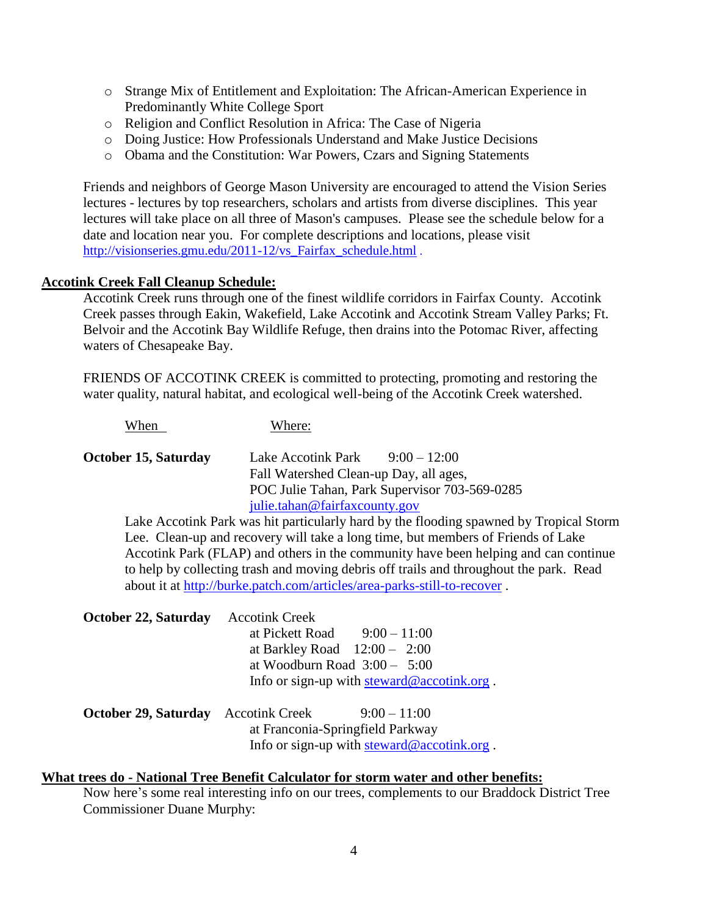- o Strange Mix of Entitlement and Exploitation: The African-American Experience in Predominantly White College Sport
- o Religion and Conflict Resolution in Africa: The Case of Nigeria
- o Doing Justice: How Professionals Understand and Make Justice Decisions
- o Obama and the Constitution: War Powers, Czars and Signing Statements

Friends and neighbors of George Mason University are encouraged to attend the Vision Series lectures - lectures by top researchers, scholars and artists from diverse disciplines. This year lectures will take place on all three of Mason's campuses. Please see the schedule below for a date and location near you. For complete descriptions and locations, please visit [http://visionseries.gmu.edu/2011-12/vs\\_Fairfax\\_schedule.html](http://click.icptrack.com/icp/relay.php?r=28871139&msgid=155168&act=YC7M&c=745490&destination=http%3A%2F%2Fvisionseries.gmu.edu%2F2011-12%2Fvs_Fairfax_schedule.html) .

## **Accotink Creek Fall Cleanup Schedule:**

Accotink Creek runs through one of the finest wildlife corridors in Fairfax County. Accotink Creek passes through Eakin, Wakefield, Lake Accotink and Accotink Stream Valley Parks; Ft. Belvoir and the Accotink Bay Wildlife Refuge, then drains into the Potomac River, affecting waters of Chesapeake Bay.

FRIENDS OF ACCOTINK CREEK is committed to protecting, promoting and restoring the water quality, natural habitat, and ecological well-being of the Accotink Creek watershed.

When Where: **October 15, Saturday** Lake Accotink Park 9:00 – 12:00 Fall Watershed Clean-up Day, all ages, POC Julie Tahan, Park Supervisor 703-569-0285 [julie.tahan@fairfaxcounty.gov](mailto:julie.tahan@fairfaxcounty.gov)

Lake Accotink Park was hit particularly hard by the flooding spawned by Tropical Storm Lee. Clean-up and recovery will take a long time, but members of Friends of Lake Accotink Park (FLAP) and others in the community have been helping and can continue to help by collecting trash and moving debris off trails and throughout the park. Read about it at<http://burke.patch.com/articles/area-parks-still-to-recover> .

| <b>October 22, Saturday</b>                | <b>Accotink Creek</b>                                                                        |
|--------------------------------------------|----------------------------------------------------------------------------------------------|
|                                            | at Pickett Road $9:00-11:00$                                                                 |
|                                            | at Barkley Road $12:00 - 2:00$                                                               |
|                                            | at Woodburn Road $3:00 - 5:00$                                                               |
|                                            | Info or sign-up with $\frac{\text{steward@} \cdot \text{according}}{\text{arccotink.org}}$ . |
| <b>October 29, Saturday</b> Accotink Creek | $9:00-11:00$                                                                                 |

at Franconia-Springfield Parkway Info or sign-up with [steward@accotink.org](mailto:steward@accotink.org) .

# **What trees do - National Tree Benefit Calculator for storm water and other benefits:**

Now here's some real interesting info on our trees, complements to our Braddock District Tree Commissioner Duane Murphy: